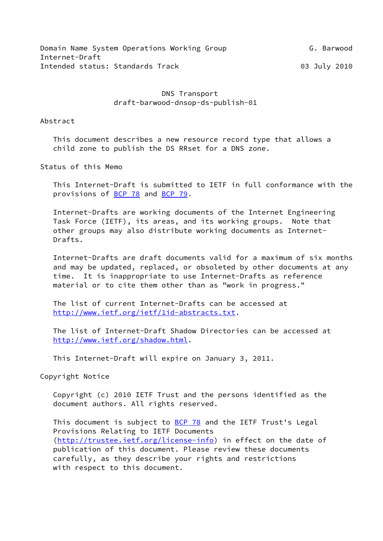# DNS Transport draft-barwood-dnsop-ds-publish-01

## Abstract

 This document describes a new resource record type that allows a child zone to publish the DS RRset for a DNS zone.

Status of this Memo

 This Internet-Draft is submitted to IETF in full conformance with the provisions of [BCP 78](https://datatracker.ietf.org/doc/pdf/bcp78) and [BCP 79](https://datatracker.ietf.org/doc/pdf/bcp79).

 Internet-Drafts are working documents of the Internet Engineering Task Force (IETF), its areas, and its working groups. Note that other groups may also distribute working documents as Internet- Drafts.

 Internet-Drafts are draft documents valid for a maximum of six months and may be updated, replaced, or obsoleted by other documents at any time. It is inappropriate to use Internet-Drafts as reference material or to cite them other than as "work in progress."

 The list of current Internet-Drafts can be accessed at <http://www.ietf.org/ietf/1id-abstracts.txt>.

 The list of Internet-Draft Shadow Directories can be accessed at <http://www.ietf.org/shadow.html>.

This Internet-Draft will expire on January 3, 2011.

Copyright Notice

 Copyright (c) 2010 IETF Trust and the persons identified as the document authors. All rights reserved.

This document is subject to **[BCP 78](https://datatracker.ietf.org/doc/pdf/bcp78)** and the IETF Trust's Legal Provisions Relating to IETF Documents [\(http://trustee.ietf.org/license-info](http://trustee.ietf.org/license-info)) in effect on the date of publication of this document. Please review these documents carefully, as they describe your rights and restrictions with respect to this document.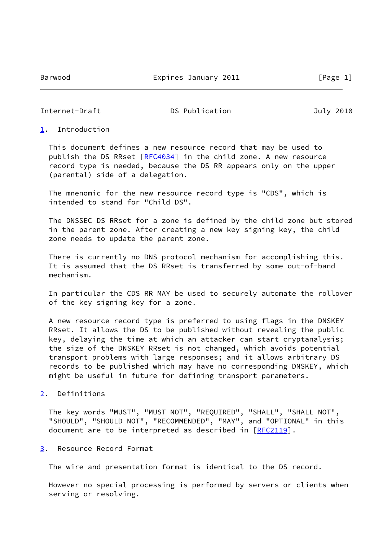Internet-Draft **DS Publication** DS Publication July 2010

### <span id="page-1-0"></span>[1](#page-1-0). Introduction

 This document defines a new resource record that may be used to publish the DS RRset [\[RFC4034](https://datatracker.ietf.org/doc/pdf/rfc4034)] in the child zone. A new resource record type is needed, because the DS RR appears only on the upper (parental) side of a delegation.

 The mnenomic for the new resource record type is "CDS", which is intended to stand for "Child DS".

 The DNSSEC DS RRset for a zone is defined by the child zone but stored in the parent zone. After creating a new key signing key, the child zone needs to update the parent zone.

 There is currently no DNS protocol mechanism for accomplishing this. It is assumed that the DS RRset is transferred by some out-of-band mechanism.

 In particular the CDS RR MAY be used to securely automate the rollover of the key signing key for a zone.

 A new resource record type is preferred to using flags in the DNSKEY RRset. It allows the DS to be published without revealing the public key, delaying the time at which an attacker can start cryptanalysis; the size of the DNSKEY RRset is not changed, which avoids potential transport problems with large responses; and it allows arbitrary DS records to be published which may have no corresponding DNSKEY, which might be useful in future for defining transport parameters.

# <span id="page-1-1"></span>[2](#page-1-1). Definitions

 The key words "MUST", "MUST NOT", "REQUIRED", "SHALL", "SHALL NOT", "SHOULD", "SHOULD NOT", "RECOMMENDED", "MAY", and "OPTIONAL" in this document are to be interpreted as described in [[RFC2119](https://datatracker.ietf.org/doc/pdf/rfc2119)].

#### <span id="page-1-2"></span>[3](#page-1-2). Resource Record Format

The wire and presentation format is identical to the DS record.

 However no special processing is performed by servers or clients when serving or resolving.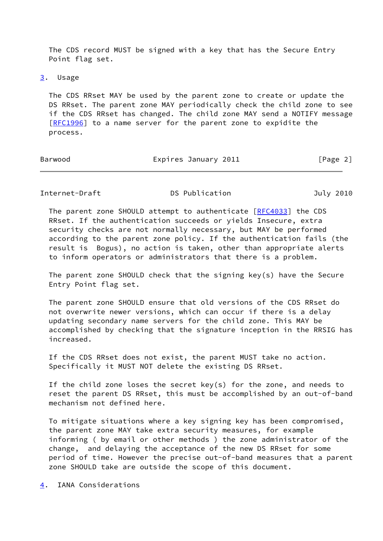The CDS record MUST be signed with a key that has the Secure Entry Point flag set.

[3](#page-1-2). Usage

 The CDS RRset MAY be used by the parent zone to create or update the DS RRset. The parent zone MAY periodically check the child zone to see if the CDS RRset has changed. The child zone MAY send a NOTIFY message [\[RFC1996](https://datatracker.ietf.org/doc/pdf/rfc1996)] to a name server for the parent zone to expidite the process.

| Barwood | Expires January 2011 | [Page 2] |
|---------|----------------------|----------|
|         |                      |          |

Internet-Draft **DS Publication** DS Publication July 2010

 The parent zone SHOULD attempt to authenticate [[RFC4033](https://datatracker.ietf.org/doc/pdf/rfc4033)] the CDS RRset. If the authentication succeeds or yields Insecure, extra security checks are not normally necessary, but MAY be performed according to the parent zone policy. If the authentication fails (the result is Bogus), no action is taken, other than appropriate alerts to inform operators or administrators that there is a problem.

The parent zone SHOULD check that the signing  $key(s)$  have the Secure Entry Point flag set.

 The parent zone SHOULD ensure that old versions of the CDS RRset do not overwrite newer versions, which can occur if there is a delay updating secondary name servers for the child zone. This MAY be accomplished by checking that the signature inception in the RRSIG has increased.

 If the CDS RRset does not exist, the parent MUST take no action. Specifically it MUST NOT delete the existing DS RRset.

 If the child zone loses the secret key(s) for the zone, and needs to reset the parent DS RRset, this must be accomplished by an out-of-band mechanism not defined here.

 To mitigate situations where a key signing key has been compromised, the parent zone MAY take extra security measures, for example informing ( by email or other methods ) the zone administrator of the change, and delaying the acceptance of the new DS RRset for some period of time. However the precise out-of-band measures that a parent zone SHOULD take are outside the scope of this document.

<span id="page-2-0"></span>[4](#page-2-0). IANA Considerations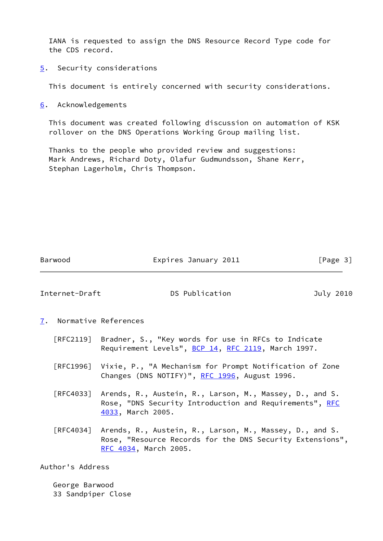IANA is requested to assign the DNS Resource Record Type code for the CDS record.

<span id="page-3-0"></span>[5](#page-3-0). Security considerations

This document is entirely concerned with security considerations.

<span id="page-3-1"></span>[6](#page-3-1). Acknowledgements

 This document was created following discussion on automation of KSK rollover on the DNS Operations Working Group mailing list.

 Thanks to the people who provided review and suggestions: Mark Andrews, Richard Doty, Olafur Gudmundsson, Shane Kerr, Stephan Lagerholm, Chris Thompson.

| Barwood | Expires January 2011 | [Page 3] |
|---------|----------------------|----------|
|         |                      |          |

Internet-Draft DS Publication July 2010

- <span id="page-3-2"></span>[7](#page-3-2). Normative References
	- [RFC2119] Bradner, S., "Key words for use in RFCs to Indicate Requirement Levels", [BCP 14](https://datatracker.ietf.org/doc/pdf/bcp14), [RFC 2119](https://datatracker.ietf.org/doc/pdf/rfc2119), March 1997.
	- [RFC1996] Vixie, P., "A Mechanism for Prompt Notification of Zone Changes (DNS NOTIFY)", [RFC 1996](https://datatracker.ietf.org/doc/pdf/rfc1996), August 1996.
	- [RFC4033] Arends, R., Austein, R., Larson, M., Massey, D., and S. Rose, "DNS Security Introduction and Requirements", [RFC](https://datatracker.ietf.org/doc/pdf/rfc4033) [4033,](https://datatracker.ietf.org/doc/pdf/rfc4033) March 2005.
	- [RFC4034] Arends, R., Austein, R., Larson, M., Massey, D., and S. Rose, "Resource Records for the DNS Security Extensions", [RFC 4034,](https://datatracker.ietf.org/doc/pdf/rfc4034) March 2005.

Author's Address

 George Barwood 33 Sandpiper Close